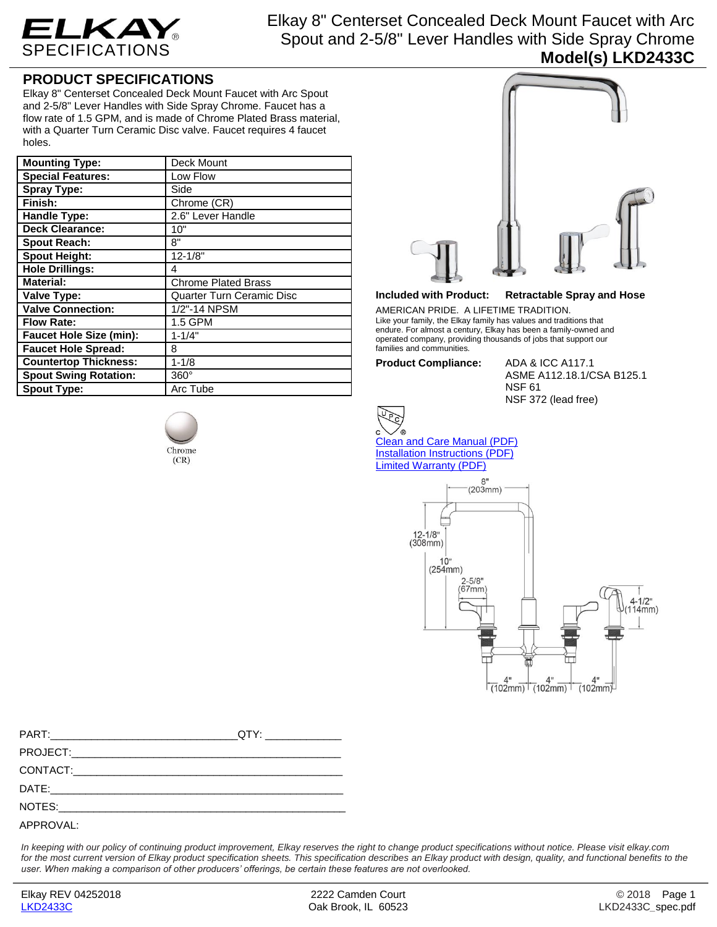

Elkay 8" Centerset Concealed Deck Mount Faucet with Arc Spout and 2-5/8" Lever Handles with Side Spray Chrome **Model(s) LKD2433C**

## **PRODUCT SPECIFICATIONS**

Elkay 8" Centerset Concealed Deck Mount Faucet with Arc Spout and 2-5/8" Lever Handles with Side Spray Chrome. Faucet has a flow rate of 1.5 GPM, and is made of Chrome Plated Brass material, with a Quarter Turn Ceramic Disc valve. Faucet requires 4 faucet holes.

| <b>Mounting Type:</b>          | Deck Mount                 |
|--------------------------------|----------------------------|
| <b>Special Features:</b>       | Low Flow                   |
| Spray Type:                    | Side                       |
| Finish:                        | Chrome (CR)                |
| Handle Type:                   | 2.6" Lever Handle          |
| <b>Deck Clearance:</b>         | 10"                        |
| <b>Spout Reach:</b>            | 8"                         |
| <b>Spout Height:</b>           | $12 - 1/8"$                |
| <b>Hole Drillings:</b>         | 4                          |
| <b>Material:</b>               | <b>Chrome Plated Brass</b> |
| <b>Valve Type:</b>             | Quarter Turn Ceramic Disc  |
| <b>Valve Connection:</b>       | 1/2"-14 NPSM               |
| <b>Flow Rate:</b>              | 1.5 GPM                    |
| <b>Faucet Hole Size (min):</b> | $1 - 1/4"$                 |
| <b>Faucet Hole Spread:</b>     | 8                          |
| <b>Countertop Thickness:</b>   | $1 - 1/8$                  |
| <b>Spout Swing Rotation:</b>   | $360^\circ$                |
| <b>Spout Type:</b>             | Arc Tube                   |





## **Included with Product: Retractable Spray and Hose**

AMERICAN PRIDE. A LIFETIME TRADITION. Like your family, the Elkay family has values and traditions that endure. For almost a century, Elkay has been a family-owned and operated company, providing thousands of jobs that support our families and communities.

**Product Compliance:** ADA & ICC A117.1

ASME A112.18.1/CSA B125.1 NSF 61 NSF 372 (lead free)



[Clean and Care Manual \(PDF\)](http://www.elkay.com/wcsstore/lkdocs/care-cleaning-install-warranty-sheets/residential%20and%20commercial%20care%20%20cleaning.pdf) [Installation Instructions \(PDF\)](http://www.elkay.com/wcsstore/lkdocs/care-cleaning-install-warranty-sheets/0000000998.pdf) [Limited Warranty](http://www.elkay.com/wcsstore/lkdocs/care-cleaning-install-warranty-sheets/commercial%20sinks%20and%20faucets%20warranty.pdf) (PDF)



*In keeping with our policy of continuing product improvement, Elkay reserves the right to change product specifications without notice. Please visit elkay.com*  for the most current version of Elkay product specification sheets. This specification describes an Elkay product with design, quality, and functional benefits to the *user. When making a comparison of other producers' offerings, be certain these features are not overlooked.*